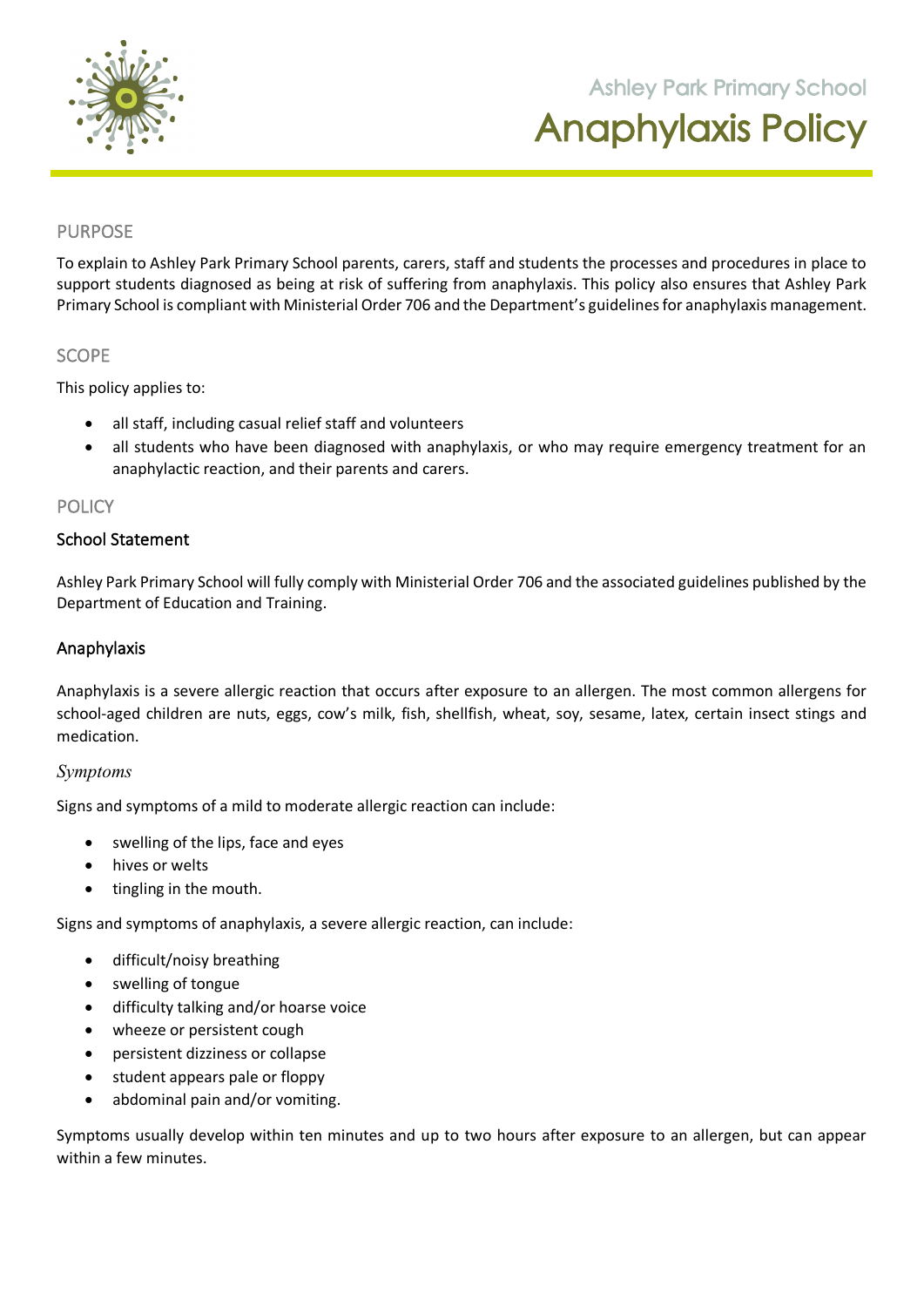

**105 Orchard Road Doreen 3754**

### PURPOSE

To explain to Ashley Park Primary School parents, carers, staff and students the processes and procedures in place to support students diagnosed as being at risk of suffering from anaphylaxis. This policy also ensures that Ashley Park Primary School is compliant with Ministerial Order 706 and the Department's guidelines for anaphylaxis management.

## **SCOPE**

This policy applies to:

- all staff, including casual relief staff and volunteers
- all students who have been diagnosed with anaphylaxis, or who may require emergency treatment for an anaphylactic reaction, and their parents and carers.

### POLICY

# School Statement

Ashley Park Primary School will fully comply with Ministerial Order 706 and the associated guidelines published by the Department of Education and Training.

#### Anaphylaxis

Anaphylaxis is a severe allergic reaction that occurs after exposure to an allergen. The most common allergens for school-aged children are nuts, eggs, cow's milk, fish, shellfish, wheat, soy, sesame, latex, certain insect stings and medication.

### *Symptoms*

Signs and symptoms of a mild to moderate allergic reaction can include:

- swelling of the lips, face and eyes
- hives or welts
- tingling in the mouth.

Signs and symptoms of anaphylaxis, a severe allergic reaction, can include:

- difficult/noisy breathing
- swelling of tongue
- difficulty talking and/or hoarse voice
- wheeze or persistent cough
- persistent dizziness or collapse
- student appears pale or floppy
- abdominal pain and/or vomiting.

Symptoms usually develop within ten minutes and up to two hours after exposure to an allergen, but can appear within a few minutes.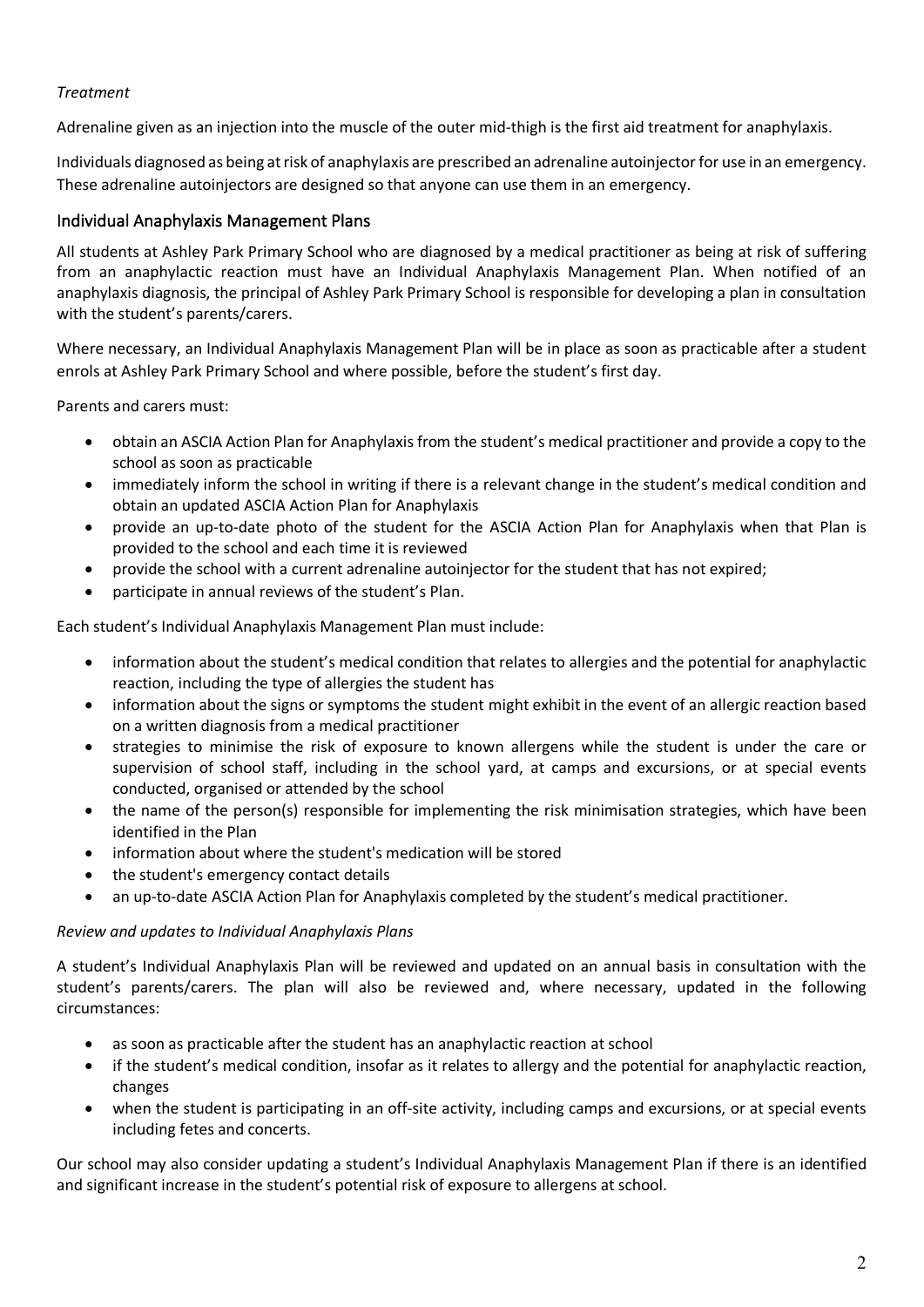# *Treatment*

Adrenaline given as an injection into the muscle of the outer mid-thigh is the first aid treatment for anaphylaxis.

Individuals diagnosed as being at risk of anaphylaxis are prescribed an adrenaline autoinjector for use in an emergency. These adrenaline autoinjectors are designed so that anyone can use them in an emergency.

## Individual Anaphylaxis Management Plans

All students at Ashley Park Primary School who are diagnosed by a medical practitioner as being at risk of suffering from an anaphylactic reaction must have an Individual Anaphylaxis Management Plan. When notified of an anaphylaxis diagnosis, the principal of Ashley Park Primary School is responsible for developing a plan in consultation with the student's parents/carers.

Where necessary, an Individual Anaphylaxis Management Plan will be in place as soon as practicable after a student enrols at Ashley Park Primary School and where possible, before the student's first day.

Parents and carers must:

- obtain an ASCIA Action Plan for Anaphylaxis from the student's medical practitioner and provide a copy to the school as soon as practicable
- immediately inform the school in writing if there is a relevant change in the student's medical condition and obtain an updated ASCIA Action Plan for Anaphylaxis
- provide an up-to-date photo of the student for the ASCIA Action Plan for Anaphylaxis when that Plan is provided to the school and each time it is reviewed
- provide the school with a current adrenaline autoinjector for the student that has not expired;
- participate in annual reviews of the student's Plan.

Each student's Individual Anaphylaxis Management Plan must include:

- information about the student's medical condition that relates to allergies and the potential for anaphylactic reaction, including the type of allergies the student has
- information about the signs or symptoms the student might exhibit in the event of an allergic reaction based on a written diagnosis from a medical practitioner
- strategies to minimise the risk of exposure to known allergens while the student is under the care or supervision of school staff, including in the school yard, at camps and excursions, or at special events conducted, organised or attended by the school
- the name of the person(s) responsible for implementing the risk minimisation strategies, which have been identified in the Plan
- information about where the student's medication will be stored
- the student's emergency contact details
- an up-to-date ASCIA Action Plan for Anaphylaxis completed by the student's medical practitioner.

### *Review and updates to Individual Anaphylaxis Plans*

A student's Individual Anaphylaxis Plan will be reviewed and updated on an annual basis in consultation with the student's parents/carers. The plan will also be reviewed and, where necessary, updated in the following circumstances:

- as soon as practicable after the student has an anaphylactic reaction at school
- if the student's medical condition, insofar as it relates to allergy and the potential for anaphylactic reaction, changes
- when the student is participating in an off-site activity, including camps and excursions, or at special events including fetes and concerts.

Our school may also consider updating a student's Individual Anaphylaxis Management Plan if there is an identified and significant increase in the student's potential risk of exposure to allergens at school.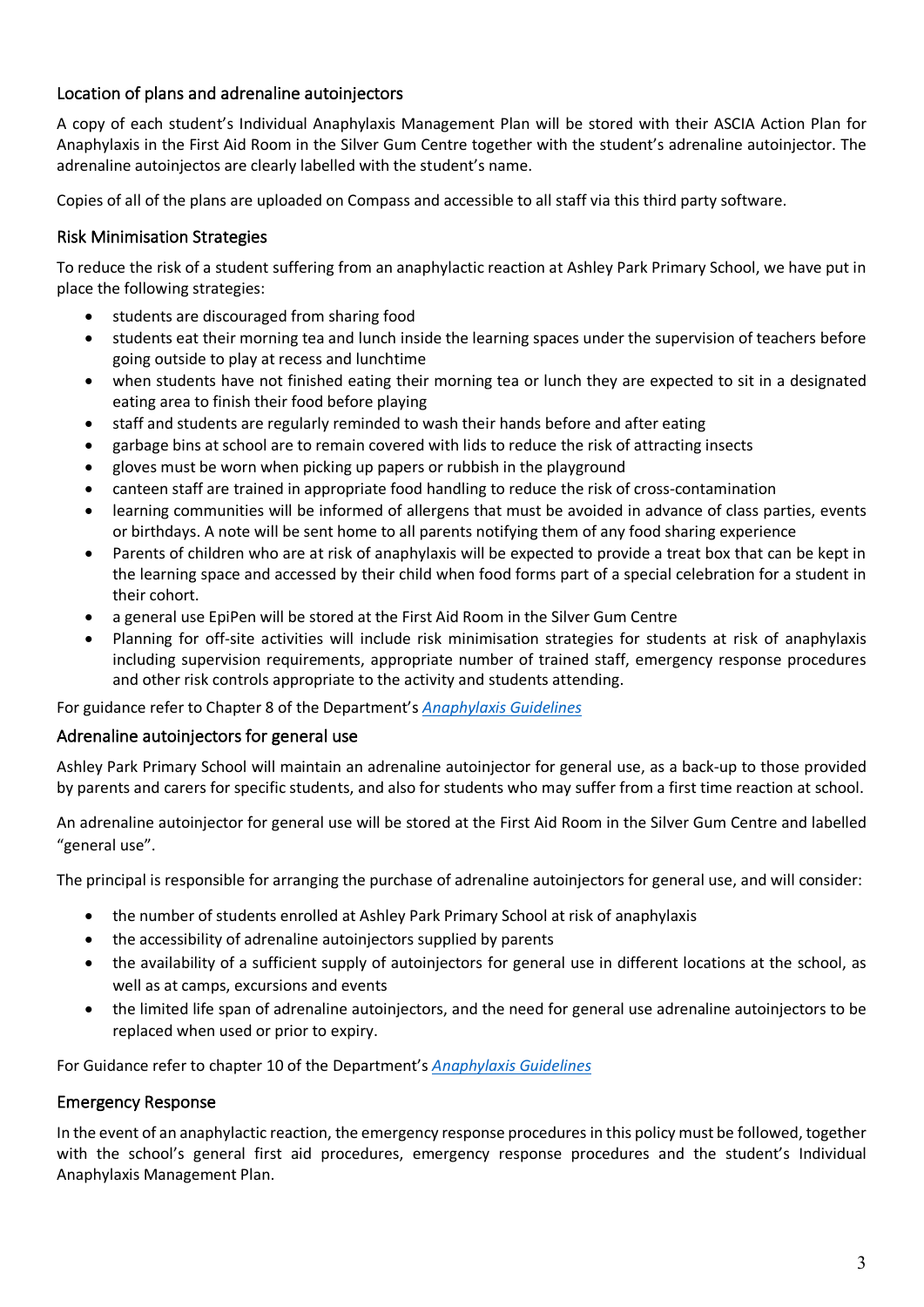# Location of plans and adrenaline autoinjectors

A copy of each student's Individual Anaphylaxis Management Plan will be stored with their ASCIA Action Plan for Anaphylaxis in the First Aid Room in the Silver Gum Centre together with the student's adrenaline autoinjector. The adrenaline autoinjectos are clearly labelled with the student's name.

Copies of all of the plans are uploaded on Compass and accessible to all staff via this third party software.

## Risk Minimisation Strategies

To reduce the risk of a student suffering from an anaphylactic reaction at Ashley Park Primary School, we have put in place the following strategies:

- students are discouraged from sharing food
- students eat their morning tea and lunch inside the learning spaces under the supervision of teachers before going outside to play at recess and lunchtime
- when students have not finished eating their morning tea or lunch they are expected to sit in a designated eating area to finish their food before playing
- staff and students are regularly reminded to wash their hands before and after eating
- garbage bins at school are to remain covered with lids to reduce the risk of attracting insects
- gloves must be worn when picking up papers or rubbish in the playground
- canteen staff are trained in appropriate food handling to reduce the risk of cross-contamination
- learning communities will be informed of allergens that must be avoided in advance of class parties, events or birthdays. A note will be sent home to all parents notifying them of any food sharing experience
- Parents of children who are at risk of anaphylaxis will be expected to provide a treat box that can be kept in the learning space and accessed by their child when food forms part of a special celebration for a student in their cohort.
- a general use EpiPen will be stored at the First Aid Room in the Silver Gum Centre
- Planning for off-site activities will include risk minimisation strategies for students at risk of anaphylaxis including supervision requirements, appropriate number of trained staff, emergency response procedures and other risk controls appropriate to the activity and students attending.

For guidance refer to Chapter 8 of the Department's *Anaphylaxis Guidelines*

### Adrenaline autoinjectors for general use

Ashley Park Primary School will maintain an adrenaline autoinjector for general use, as a back-up to those provided by parents and carers for specific students, and also for students who may suffer from a first time reaction at school.

An adrenaline autoinjector for general use will be stored at the First Aid Room in the Silver Gum Centre and labelled "general use".

The principal is responsible for arranging the purchase of adrenaline autoinjectors for general use, and will consider:

- the number of students enrolled at Ashley Park Primary School at risk of anaphylaxis
- the accessibility of adrenaline autoinjectors supplied by parents
- the availability of a sufficient supply of autoinjectors for general use in different locations at the school, as well as at camps, excursions and events
- the limited life span of adrenaline autoinjectors, and the need for general use adrenaline autoinjectors to be replaced when used or prior to expiry.

For Guidance refer to chapter 10 of the Department's *Anaphylaxis Guidelines*

### Emergency Response

In the event of an anaphylactic reaction, the emergency response procedures in this policy must be followed, together with the school's general first aid procedures, emergency response procedures and the student's Individual Anaphylaxis Management Plan.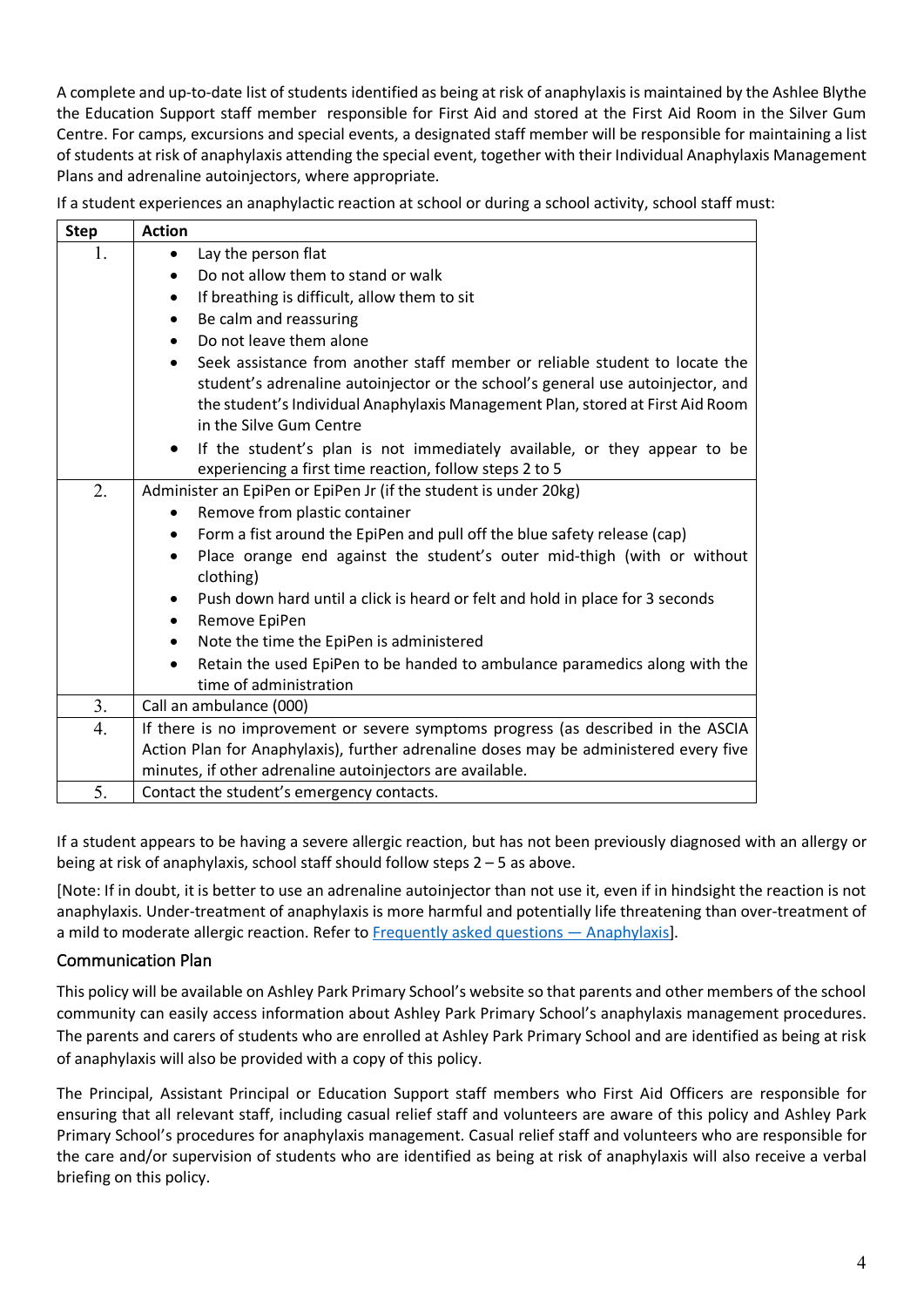A complete and up-to-date list of students identified as being at risk of anaphylaxis is maintained by the Ashlee Blythe the Education Support staff member responsible for First Aid and stored at the First Aid Room in the Silver Gum Centre. For camps, excursions and special events, a designated staff member will be responsible for maintaining a list of students at risk of anaphylaxis attending the special event, together with their Individual Anaphylaxis Management Plans and adrenaline autoinjectors, where appropriate.

| If a student experiences an anaphylactic reaction at school or during a school activity, school staff must: |  |  |
|-------------------------------------------------------------------------------------------------------------|--|--|
|                                                                                                             |  |  |

| <b>Step</b> | <b>Action</b>                                                                                                                                                                                                                                                               |  |  |
|-------------|-----------------------------------------------------------------------------------------------------------------------------------------------------------------------------------------------------------------------------------------------------------------------------|--|--|
| 1.          | Lay the person flat                                                                                                                                                                                                                                                         |  |  |
|             | Do not allow them to stand or walk                                                                                                                                                                                                                                          |  |  |
|             | If breathing is difficult, allow them to sit<br>٠                                                                                                                                                                                                                           |  |  |
|             | Be calm and reassuring<br>$\bullet$                                                                                                                                                                                                                                         |  |  |
|             | Do not leave them alone<br>$\bullet$                                                                                                                                                                                                                                        |  |  |
|             | Seek assistance from another staff member or reliable student to locate the<br>student's adrenaline autoinjector or the school's general use autoinjector, and<br>the student's Individual Anaphylaxis Management Plan, stored at First Aid Room<br>in the Silve Gum Centre |  |  |
|             | If the student's plan is not immediately available, or they appear to be<br>$\bullet$<br>experiencing a first time reaction, follow steps 2 to 5                                                                                                                            |  |  |
| 2.          | Administer an EpiPen or EpiPen Jr (if the student is under 20kg)                                                                                                                                                                                                            |  |  |
|             | Remove from plastic container                                                                                                                                                                                                                                               |  |  |
|             | Form a fist around the EpiPen and pull off the blue safety release (cap)                                                                                                                                                                                                    |  |  |
|             | Place orange end against the student's outer mid-thigh (with or without<br>clothing)                                                                                                                                                                                        |  |  |
|             | Push down hard until a click is heard or felt and hold in place for 3 seconds<br>$\bullet$<br>Remove EpiPen                                                                                                                                                                 |  |  |
|             | Note the time the EpiPen is administered<br>٠                                                                                                                                                                                                                               |  |  |
|             | Retain the used EpiPen to be handed to ambulance paramedics along with the<br>$\bullet$                                                                                                                                                                                     |  |  |
|             | time of administration                                                                                                                                                                                                                                                      |  |  |
| 3.          | Call an ambulance (000)                                                                                                                                                                                                                                                     |  |  |
| 4.          | If there is no improvement or severe symptoms progress (as described in the ASCIA                                                                                                                                                                                           |  |  |
|             | Action Plan for Anaphylaxis), further adrenaline doses may be administered every five                                                                                                                                                                                       |  |  |
|             | minutes, if other adrenaline autoinjectors are available.                                                                                                                                                                                                                   |  |  |
| 5.          | Contact the student's emergency contacts.                                                                                                                                                                                                                                   |  |  |

If a student appears to be having a severe allergic reaction, but has not been previously diagnosed with an allergy or being at risk of anaphylaxis, school staff should follow steps 2 – 5 as above.

[Note: If in doubt, it is better to use an adrenaline autoinjector than not use it, even if in hindsight the reaction is not anaphylaxis. Under-treatment of anaphylaxis is more harmful and potentially life threatening than over-treatment of a mild to moderate allergic reaction. Refer to Frequently asked questions — Anaphylaxis].

# Communication Plan

This policy will be available on Ashley Park Primary School's website so that parents and other members of the school community can easily access information about Ashley Park Primary School's anaphylaxis management procedures. The parents and carers of students who are enrolled at Ashley Park Primary School and are identified as being at risk of anaphylaxis will also be provided with a copy of this policy.

The Principal, Assistant Principal or Education Support staff members who First Aid Officers are responsible for ensuring that all relevant staff, including casual relief staff and volunteers are aware of this policy and Ashley Park Primary School's procedures for anaphylaxis management. Casual relief staff and volunteers who are responsible for the care and/or supervision of students who are identified as being at risk of anaphylaxis will also receive a verbal briefing on this policy.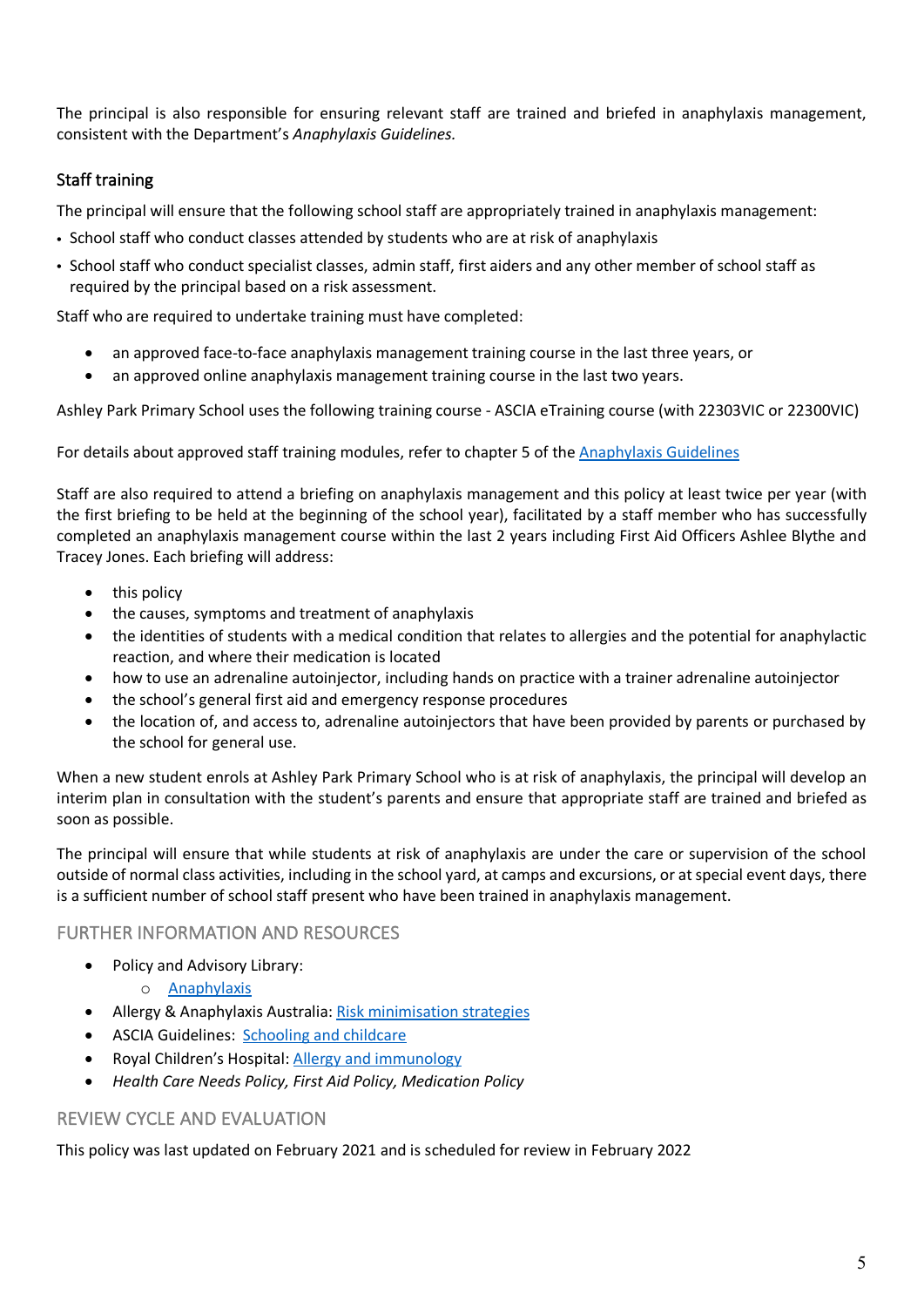The principal is also responsible for ensuring relevant staff are trained and briefed in anaphylaxis management, consistent with the Department's *Anaphylaxis Guidelines.*

# Staff training

The principal will ensure that the following school staff are appropriately trained in anaphylaxis management:

- School staff who conduct classes attended by students who are at risk of anaphylaxis
- School staff who conduct specialist classes, admin staff, first aiders and any other member of school staff as required by the principal based on a risk assessment.

Staff who are required to undertake training must have completed:

- an approved face-to-face anaphylaxis management training course in the last three years, or
- an approved online anaphylaxis management training course in the last two years.

Ashley Park Primary School uses the following training course - ASCIA eTraining course (with 22303VIC or 22300VIC)

For details about approved staff training modules, refer to chapter 5 of the Anaphylaxis Guidelines

Staff are also required to attend a briefing on anaphylaxis management and this policy at least twice per year (with the first briefing to be held at the beginning of the school year), facilitated by a staff member who has successfully completed an anaphylaxis management course within the last 2 years including First Aid Officers Ashlee Blythe and Tracey Jones. Each briefing will address:

- this policy
- the causes, symptoms and treatment of anaphylaxis
- the identities of students with a medical condition that relates to allergies and the potential for anaphylactic reaction, and where their medication is located
- how to use an adrenaline autoinjector, including hands on practice with a trainer adrenaline autoinjector
- the school's general first aid and emergency response procedures
- the location of, and access to, adrenaline autoinjectors that have been provided by parents or purchased by the school for general use.

When a new student enrols at Ashley Park Primary School who is at risk of anaphylaxis, the principal will develop an interim plan in consultation with the student's parents and ensure that appropriate staff are trained and briefed as soon as possible.

The principal will ensure that while students at risk of anaphylaxis are under the care or supervision of the school outside of normal class activities, including in the school yard, at camps and excursions, or at special event days, there is a sufficient number of school staff present who have been trained in anaphylaxis management.

# FURTHER INFORMATION AND RESOURCES

- Policy and Advisory Library:
	- o Anaphylaxis
- Allergy & Anaphylaxis Australia: Risk minimisation strategies
- ASCIA Guidelines: Schooling and childcare
- Royal Children's Hospital: Allergy and immunology
- *Health Care Needs Policy, First Aid Policy, Medication Policy*

# REVIEW CYCLE AND EVALUATION

This policy was last updated on February 2021 and is scheduled for review in February 2022